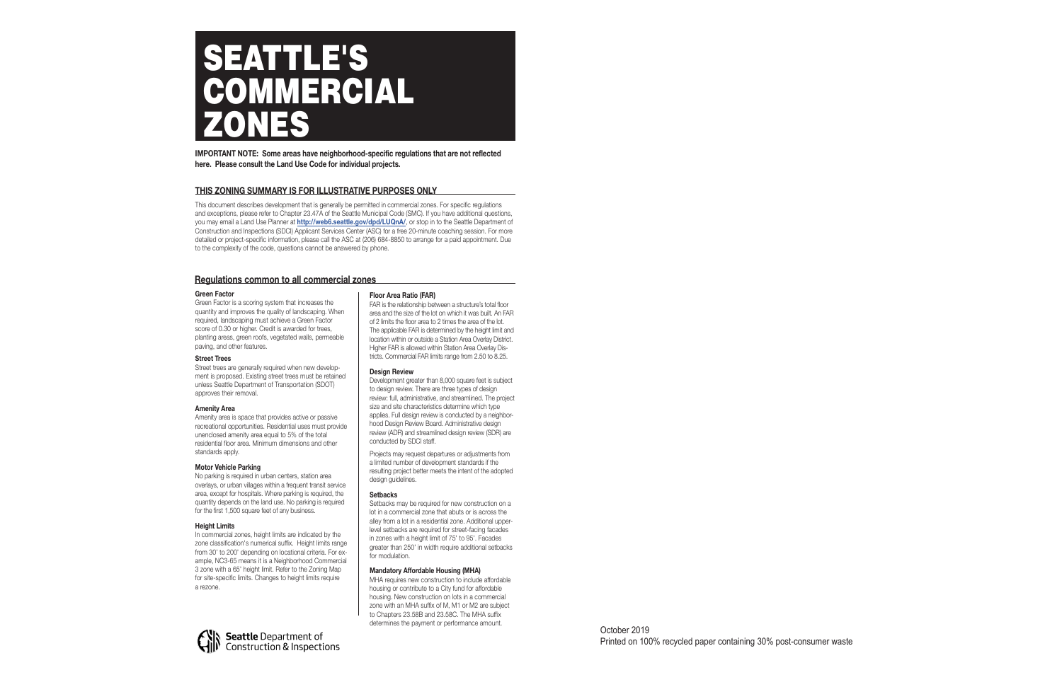### **THIS ZONING SUMMARY IS FOR ILLUSTRATIVE PURPOSES ONLY**

This document describes development that is generally be permitted in commercial zones. For specific regulations and exceptions, please refer to Chapter 23.47A of the Seattle Municipal Code (SMC). If you have additional questions, you may email a Land Use Planner at **<http://web6.seattle.gov/dpd/LUQnA/>**, or stop in to the Seattle Department of Construction and Inspections (SDCI) Applicant Services Center (ASC) for a free 20-minute coaching session. For more detailed or project-specific information, please call the ASC at (206) 684-8850 to arrange for a paid appointment. Due to the complexity of the code, questions cannot be answered by phone.

#### **Green Factor**

Green Factor is a scoring system that increases the quantity and improves the quality of landscaping. When required, landscaping must achieve a Green Factor score of 0.30 or higher. Credit is awarded for trees, planting areas, green roofs, vegetated walls, permeable paving, and other features.

#### **Street Trees**

In commercial zones, height limits are indicated by the zone classification's numerical suffix. Height limits range from 30' to 200' depending on locational criteria. For example, NC3-65 means it is a Neighborhood Commercial 3 zone with a 65' height limit. Refer to the Zoning Map for site-specific limits. Changes to height limits require a rezone.

# SEATTLE'S COMMERCIAL NES



Street trees are generally required when new development is proposed. Existing street trees must be retained unless Seattle Department of Transportation (SDOT) approves their removal.

#### **Amenity Area**

Amenity area is space that provides active or passive recreational opportunities. Residential uses must provide unenclosed amenity area equal to 5% of the total residential floor area. Minimum dimensions and other standards apply.

#### **Motor Vehicle Parking**

No parking is required in urban centers, station area overlays, or urban villages within a frequent transit service area, except for hospitals. Where parking is required, the quantity depends on the land use. No parking is required for the first 1,500 square feet of any business.

#### **Height Limits**

**IMPORTANT NOTE: Some areas have neighborhood-specific regulations that are not reflected here. Please consult the Land Use Code for individual projects.**

#### **Floor Area Ratio (FAR)**

FAR is the relationship between a structure's total floor area and the size of the lot on which it was built. An FAR of 2 limits the floor area to 2 times the area of the lot. The applicable FAR is determined by the height limit and location within or outside a Station Area Overlay District. Higher FAR is allowed within Station Area Overlay Districts. Commercial FAR limits range from 2.50 to 8.25.

#### **Design Review**

Development greater than 8,000 square feet is subject to design review. There are three types of design review: full, administrative, and streamlined. The project size and site characteristics determine which type applies. Full design review is conducted by a neighborhood Design Review Board. Administrative design review (ADR) and streamlined design review (SDR) are conducted by SDCI staff.

Projects may request departures or adjustments from a limited number of development standards if the resulting project better meets the intent of the adopted design guidelines.

#### **Setbacks**

Setbacks may be required for new construction on a lot in a commercial zone that abuts or is across the alley from a lot in a residential zone. Additional upperlevel setbacks are required for street-facing facades in zones with a height limit of 75' to 95'. Facades greater than 250' in width require additional setbacks for modulation.

#### **Mandatory Affordable Housing (MHA)**

MHA requires new construction to include affordable housing or contribute to a City fund for affordable housing. New construction on lots in a commercial zone with an MHA suffix of M, M1 or M2 are subject to Chapters 23.58B and 23.58C. The MHA suffix determines the payment or performance amount.

#### **Regulations common to all commercial zones**